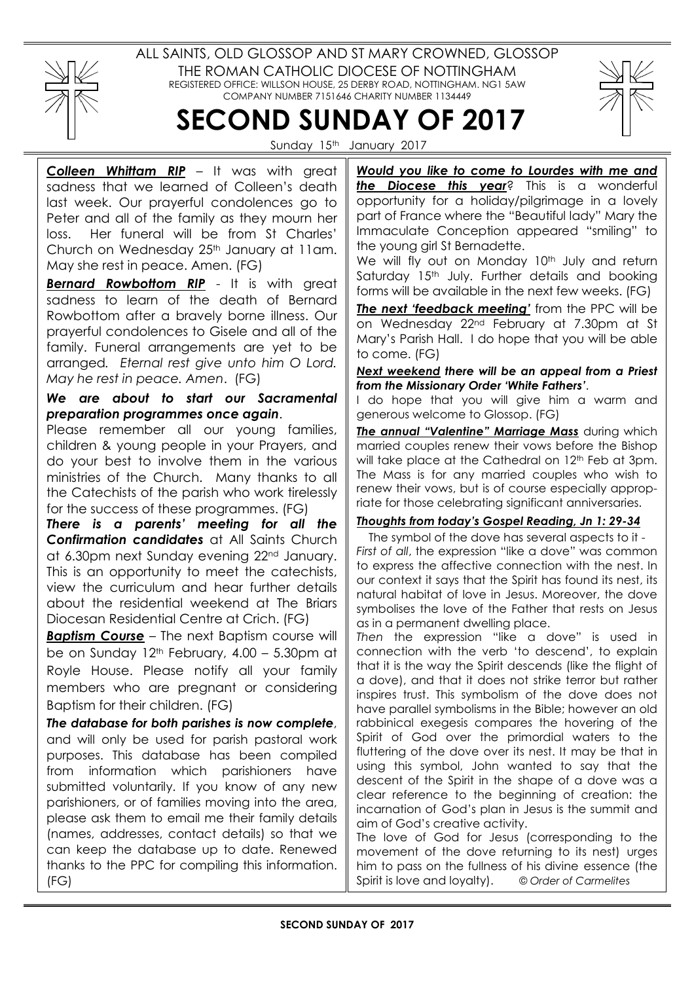

ALL SAINTS, OLD GLOSSOP AND ST MARY CROWNED, GLOSSOP THE ROMAN CATHOLIC DIOCESE OF NOTTINGHAM REGISTERED OFFICE: WILLSON HOUSE, 25 DERBY ROAD, NOTTINGHAM. NG1 5AW COMPANY NUMBER 7151646 CHARITY NUMBER 1134449



SECOND SUNDAY OF 2017 Sunday 15th January 2017

Colleen Whittam RIP - It was with great sadness that we learned of Colleen's death last week. Our prayerful condolences go to Peter and all of the family as they mourn her loss. Her funeral will be from St Charles' Church on Wednesday 25<sup>th</sup> January at 11am. May she rest in peace. Amen. (FG)

Bernard Rowbottom RIP - It is with great sadness to learn of the death of Bernard Rowbottom after a bravely borne illness. Our prayerful condolences to Gisele and all of the family. Funeral arrangements are yet to be arranged. Eternal rest give unto him O Lord. May he rest in peace. Amen. (FG)

### We are about to start our Sacramental preparation programmes once again.

Please remember all our young families, children & young people in your Prayers, and do your best to involve them in the various ministries of the Church. Many thanks to all the Catechists of the parish who work tirelessly for the success of these programmes. (FG)

There is a parents' meeting for all the Confirmation candidates at All Saints Church at 6.30pm next Sunday evening 22nd January. This is an opportunity to meet the catechists, view the curriculum and hear further details about the residential weekend at The Briars Diocesan Residential Centre at Crich. (FG)

**Baptism Course** - The next Baptism course will be on Sunday  $12<sup>th</sup>$  February,  $4.00 - 5.30$ pm at Royle House. Please notify all your family members who are pregnant or considering Baptism for their children. (FG)

The database for both parishes is now complete, and will only be used for parish pastoral work purposes. This database has been compiled from information which parishioners have submitted voluntarily. If you know of any new parishioners, or of families moving into the area, please ask them to email me their family details (names, addresses, contact details) so that we can keep the database up to date. Renewed thanks to the PPC for compiling this information. (FG)

Would you like to come to Lourdes with me and the Diocese this year? This is a wonderful opportunity for a holiday/pilgrimage in a lovely part of France where the "Beautiful lady" Mary the Immaculate Conception appeared "smiling" to the young girl St Bernadette.

We will fly out on Monday 10<sup>th</sup> July and return Saturday 15<sup>th</sup> July. Further details and booking forms will be available in the next few weeks. (FG)

The next 'feedback meeting' from the PPC will be on Wednesday 22nd February at 7.30pm at St Mary's Parish Hall. I do hope that you will be able to come. (FG)

Next weekend there will be an appeal from a Priest from the Missionary Order 'White Fathers'.

I do hope that you will give him a warm and generous welcome to Glossop. (FG)

The annual "Valentine" Marriage Mass during which married couples renew their vows before the Bishop will take place at the Cathedral on 12<sup>th</sup> Feb at 3pm. The Mass is for any married couples who wish to renew their vows, but is of course especially appropriate for those celebrating significant anniversaries.

## Thoughts from today's Gospel Reading, Jn 1: 29-34

The symbol of the dove has several aspects to it - First of all, the expression "like a dove" was common to express the affective connection with the nest. In our context it says that the Spirit has found its nest, its natural habitat of love in Jesus. Moreover, the dove symbolises the love of the Father that rests on Jesus as in a permanent dwelling place.

Then the expression "like a dove" is used in connection with the verb 'to descend', to explain that it is the way the Spirit descends (like the flight of a dove), and that it does not strike terror but rather inspires trust. This symbolism of the dove does not have parallel symbolisms in the Bible; however an old rabbinical exegesis compares the hovering of the Spirit of God over the primordial waters to the fluttering of the dove over its nest. It may be that in using this symbol, John wanted to say that the descent of the Spirit in the shape of a dove was a clear reference to the beginning of creation: the incarnation of God's plan in Jesus is the summit and aim of God's creative activity.

The love of God for Jesus (corresponding to the movement of the dove returning to its nest) urges him to pass on the fullness of his divine essence (the Spirit is love and loyalty). © Order of Carmelites